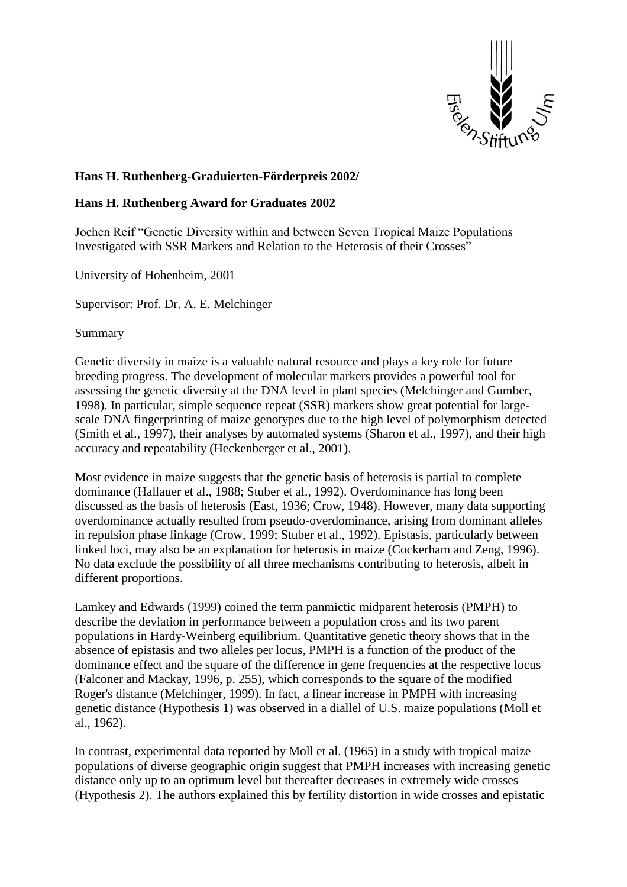

## **Hans H. Ruthenberg-Graduierten-Förderpreis 2002/**

## **Hans H. Ruthenberg Award for Graduates 2002**

Jochen Reif "Genetic Diversity within and between Seven Tropical Maize Populations Investigated with SSR Markers and Relation to the Heterosis of their Crosses"

University of Hohenheim, 2001

Supervisor: Prof. Dr. A. E. Melchinger

Summary

Genetic diversity in maize is a valuable natural resource and plays a key role for future breeding progress. The development of molecular markers provides a powerful tool for assessing the genetic diversity at the DNA level in plant species (Melchinger and Gumber, 1998). In particular, simple sequence repeat (SSR) markers show great potential for largescale DNA fingerprinting of maize genotypes due to the high level of polymorphism detected (Smith et al., 1997), their analyses by automated systems (Sharon et al., 1997), and their high accuracy and repeatability (Heckenberger et al., 2001).

Most evidence in maize suggests that the genetic basis of heterosis is partial to complete dominance (Hallauer et al., 1988; Stuber et al., 1992). Overdominance has long been discussed as the basis of heterosis (East, 1936; Crow, 1948). However, many data supporting overdominance actually resulted from pseudo-overdominance, arising from dominant alleles in repulsion phase linkage (Crow, 1999; Stuber et al., 1992). Epistasis, particularly between linked loci, may also be an explanation for heterosis in maize (Cockerham and Zeng, 1996). No data exclude the possibility of all three mechanisms contributing to heterosis, albeit in different proportions.

Lamkey and Edwards (1999) coined the term panmictic midparent heterosis (PMPH) to describe the deviation in performance between a population cross and its two parent populations in Hardy-Weinberg equilibrium. Quantitative genetic theory shows that in the absence of epistasis and two alleles per locus, PMPH is a function of the product of the dominance effect and the square of the difference in gene frequencies at the respective locus (Falconer and Mackay, 1996, p. 255), which corresponds to the square of the modified Roger's distance (Melchinger, 1999). In fact, a linear increase in PMPH with increasing genetic distance (Hypothesis 1) was observed in a diallel of U.S. maize populations (Moll et al., 1962).

In contrast, experimental data reported by Moll et al. (1965) in a study with tropical maize populations of diverse geographic origin suggest that PMPH increases with increasing genetic distance only up to an optimum level but thereafter decreases in extremely wide crosses (Hypothesis 2). The authors explained this by fertility distortion in wide crosses and epistatic